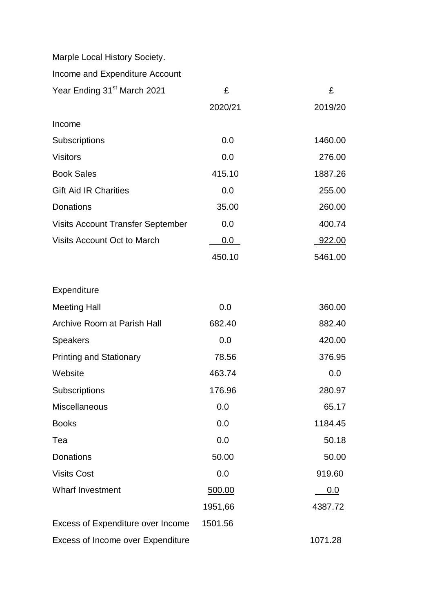Marple Local History Society.

Income and Expenditure Account

| Year Ending 31 <sup>st</sup> March 2021  | £       | £             |
|------------------------------------------|---------|---------------|
|                                          | 2020/21 | 2019/20       |
| Income                                   |         |               |
| Subscriptions                            | 0.0     | 1460.00       |
| <b>Visitors</b>                          | 0.0     | 276.00        |
| <b>Book Sales</b>                        | 415.10  | 1887.26       |
| <b>Gift Aid IR Charities</b>             | 0.0     | 255.00        |
| <b>Donations</b>                         | 35.00   | 260.00        |
| <b>Visits Account Transfer September</b> | 0.0     | 400.74        |
| <b>Visits Account Oct to March</b>       | $0.0\,$ | <u>922.00</u> |
|                                          | 450.10  | 5461.00       |
| Expenditure                              |         |               |
| <b>Meeting Hall</b>                      | 0.0     | 360.00        |
| <b>Archive Room at Parish Hall</b>       | 682.40  |               |
|                                          |         | 882.40        |
| Speakers                                 | 0.0     | 420.00        |
| <b>Printing and Stationary</b>           | 78.56   | 376.95        |
| Website                                  | 463.74  | 0.0           |
| Subscriptions                            | 176.96  | 280.97        |
| Miscellaneous                            | 0.0     | 65.17         |
| <b>Books</b>                             | 0.0     | 1184.45       |
| Tea                                      | 0.0     | 50.18         |
| <b>Donations</b>                         | 50.00   | 50.00         |
| <b>Visits Cost</b>                       | 0.0     | 919.60        |
| <b>Wharf Investment</b>                  | 500.00  | 0.0           |
|                                          | 1951,66 | 4387.72       |
| Excess of Expenditure over Income        | 1501.56 |               |
| Excess of Income over Expenditure        |         | 1071.28       |